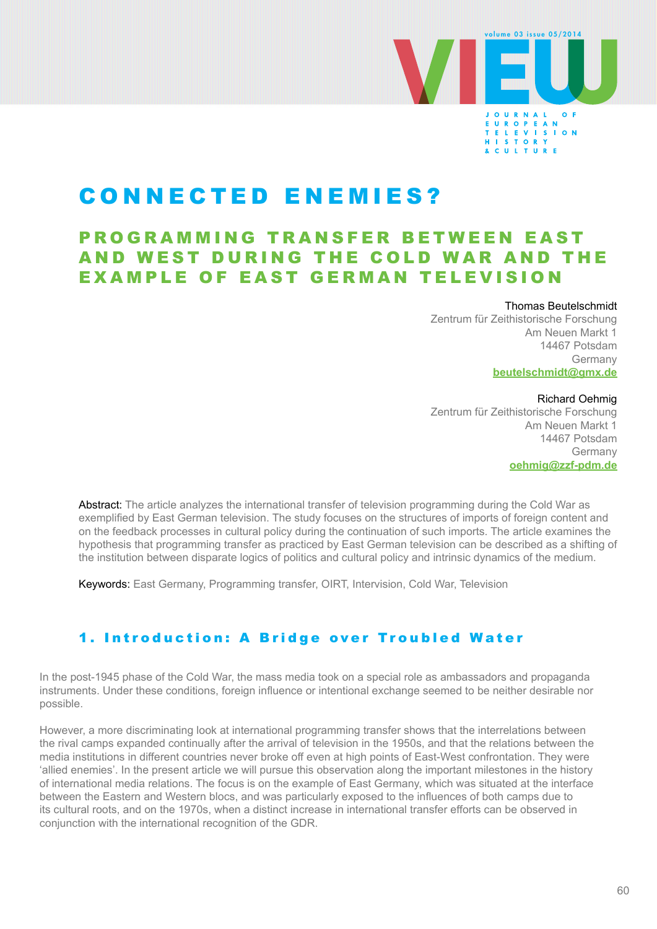

# CONNECTED ENEMIES?

## PROGRAMMING TRANSFER BETWEEN EAST AND WEST DURING THE COLD WAR AND THE EXAMPLE OF EAST GERMAN TELEVISION

#### Thomas Beutelschmidt

Zentrum für Zeithistorische Forschung Am Neuen Markt 1 14467 Potsdam Germany **[beutelschmidt@gmx.de](mailto:beutelschmidt%40gmx.de?subject=)**

#### Richard Oehmig

Zentrum für Zeithistorische Forschung Am Neuen Markt 1 14467 Potsdam Germany **[oehmig@zzf-pdm.de](mailto:oehmig%40zzf-pdm.de?subject=)**

Abstract: The article analyzes the international transfer of television programming during the Cold War as exemplified by East German television. The study focuses on the structures of imports of foreign content and on the feedback processes in cultural policy during the continuation of such imports. The article examines the hypothesis that programming transfer as practiced by East German television can be described as a shifting of the institution between disparate logics of politics and cultural policy and intrinsic dynamics of the medium.

Keywords: East Germany, Programming transfer, OIRT, Intervision, Cold War, Television

## 1. Introduction: A Bridge over Troubled Water

In the post-1945 phase of the Cold War, the mass media took on a special role as ambassadors and propaganda instruments. Under these conditions, foreign influence or intentional exchange seemed to be neither desirable nor possible.

However, a more discriminating look at international programming transfer shows that the interrelations between the rival camps expanded continually after the arrival of television in the 1950s, and that the relations between the media institutions in different countries never broke off even at high points of East-West confrontation. They were 'allied enemies'. In the present article we will pursue this observation along the important milestones in the history of international media relations. The focus is on the example of East Germany, which was situated at the interface between the Eastern and Western blocs, and was particularly exposed to the influences of both camps due to its cultural roots, and on the 1970s, when a distinct increase in international transfer efforts can be observed in conjunction with the international recognition of the GDR.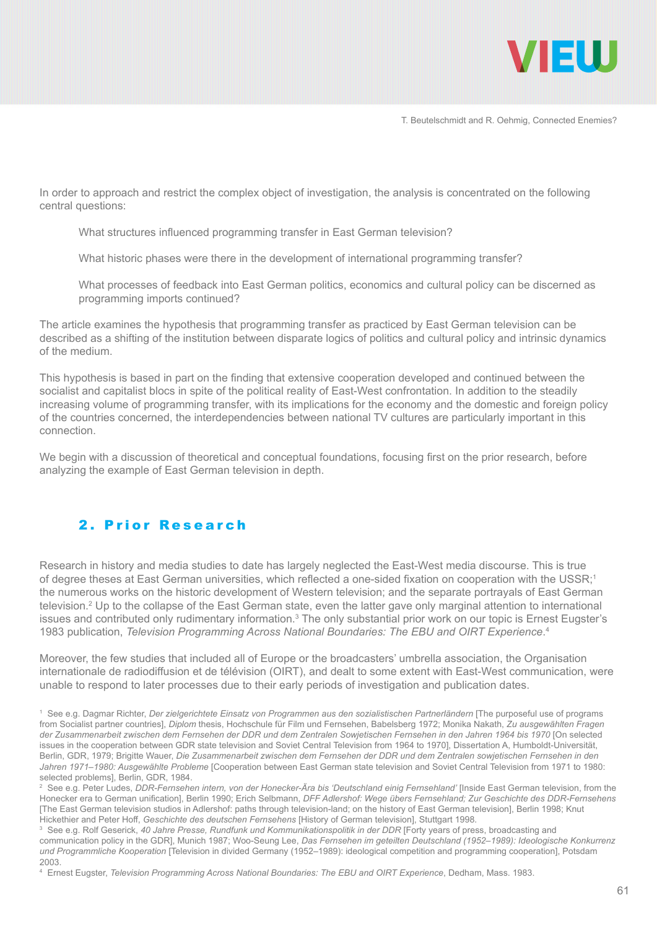

In order to approach and restrict the complex object of investigation, the analysis is concentrated on the following central questions:

What structures influenced programming transfer in East German television?

What historic phases were there in the development of international programming transfer?

What processes of feedback into East German politics, economics and cultural policy can be discerned as programming imports continued?

The article examines the hypothesis that programming transfer as practiced by East German television can be described as a shifting of the institution between disparate logics of politics and cultural policy and intrinsic dynamics of the medium.

This hypothesis is based in part on the finding that extensive cooperation developed and continued between the socialist and capitalist blocs in spite of the political reality of East-West confrontation. In addition to the steadily increasing volume of programming transfer, with its implications for the economy and the domestic and foreign policy of the countries concerned, the interdependencies between national TV cultures are particularly important in this connection.

We begin with a discussion of theoretical and conceptual foundations, focusing first on the prior research, before analyzing the example of East German television in depth.

## 2. Prior Research

Research in history and media studies to date has largely neglected the East-West media discourse. This is true of degree theses at East German universities, which reflected a one-sided fixation on cooperation with the USSR;<sup>1</sup> the numerous works on the historic development of Western television; and the separate portrayals of East German television.<sup>2</sup> Up to the collapse of the East German state, even the latter gave only marginal attention to international issues and contributed only rudimentary information.<sup>3</sup> The only substantial prior work on our topic is Ernest Eugster's 1983 publication, *Television Programming Across National Boundaries: The EBU and OIRT Experience*. 4

Moreover, the few studies that included all of Europe or the broadcasters' umbrella association, the Organisation internationale de radiodiffusion et de télévision (OIRT), and dealt to some extent with East-West communication, were unable to respond to later processes due to their early periods of investigation and publication dates.

1 See e.g. Dagmar Richter, *Der zielgerichtete Einsatz von Programmen aus den sozialistischen Partnerländern* [The purposeful use of programs from Socialist partner countries], *Diplom* thesis, Hochschule für Film und Fernsehen, Babelsberg 1972; Monika Nakath, *Zu ausgewählten Fragen der Zusammenarbeit zwischen dem Fernsehen der DDR und dem Zentralen Sowjetischen Fernsehen in den Jahren 1964 bis 1970* [On selected issues in the cooperation between GDR state television and Soviet Central Television from 1964 to 1970], Dissertation A, Humboldt-Universität, Berlin, GDR, 1979; Brigitte Wauer, *Die Zusammenarbeit zwischen dem Fernsehen der DDR und dem Zentralen sowjetischen Fernsehen in den Jahren 1971–1980: Ausgewählte Probleme* [Cooperation between East German state television and Soviet Central Television from 1971 to 1980: selected problems], Berlin, GDR, 1984.

2 See e.g. Peter Ludes, *DDR-Fernsehen intern, von der Honecker-Ära bis 'Deutschland einig Fernsehland'* [Inside East German television, from the Honecker era to German unification], Berlin 1990; Erich Selbmann, *DFF Adlershof: Wege übers Fernsehland; Zur Geschichte des DDR-Fernsehens*  [The East German television studios in Adlershof: paths through television-land; on the history of East German television], Berlin 1998; Knut Hickethier and Peter Hoff, *Geschichte des deutschen Fernsehens* [History of German television], Stuttgart 1998.

3 See e.g. Rolf Geserick, *40 Jahre Presse, Rundfunk und Kommunikationspolitik in der DDR* [Forty years of press, broadcasting and communication policy in the GDR], Munich 1987; Woo-Seung Lee, *Das Fernsehen im geteilten Deutschland (1952–1989): Ideologische Konkurrenz und Programmliche Kooperation* [Television in divided Germany (1952–1989): ideological competition and programming cooperation], Potsdam 2003.

4 Ernest Eugster, *Television Programming Across National Boundaries: The EBU and OIRT Experience*, Dedham, Mass. 1983.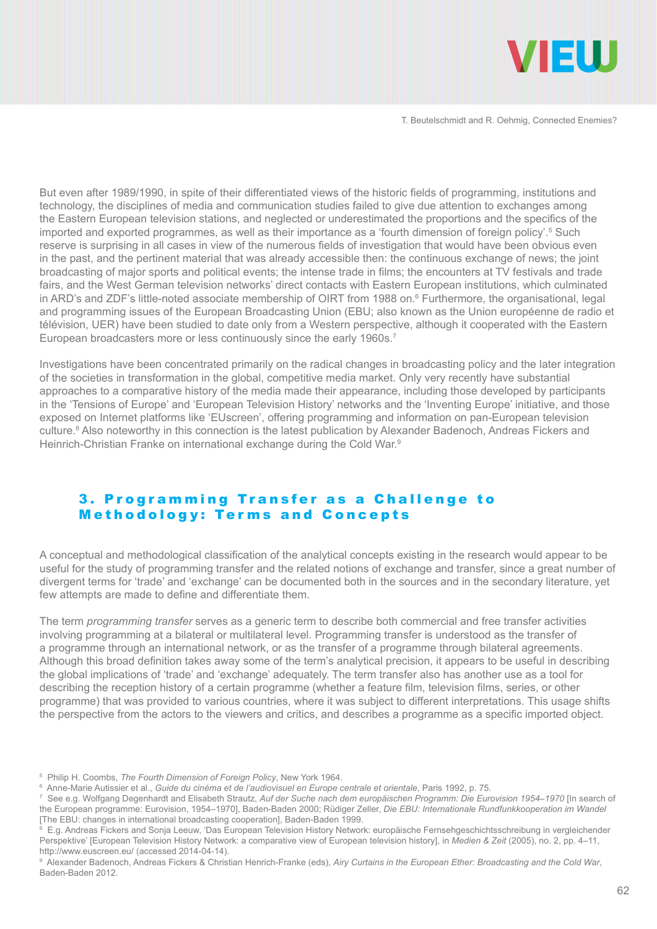

But even after 1989/1990, in spite of their differentiated views of the historic fields of programming, institutions and technology, the disciplines of media and communication studies failed to give due attention to exchanges among the Eastern European television stations, and neglected or underestimated the proportions and the specifics of the imported and exported programmes, as well as their importance as a 'fourth dimension of foreign policy'.<sup>5</sup> Such reserve is surprising in all cases in view of the numerous fields of investigation that would have been obvious even in the past, and the pertinent material that was already accessible then: the continuous exchange of news; the joint broadcasting of major sports and political events; the intense trade in films; the encounters at TV festivals and trade fairs, and the West German television networks' direct contacts with Eastern European institutions, which culminated in ARD's and ZDF's little-noted associate membership of OIRT from 1988 on.<sup>6</sup> Furthermore, the organisational, legal and programming issues of the European Broadcasting Union (EBU; also known as the Union européenne de radio et télévision, UER) have been studied to date only from a Western perspective, although it cooperated with the Eastern European broadcasters more or less continuously since the early 1960s.<sup>7</sup>

Investigations have been concentrated primarily on the radical changes in broadcasting policy and the later integration of the societies in transformation in the global, competitive media market. Only very recently have substantial approaches to a comparative history of the media made their appearance, including those developed by participants in the 'Tensions of Europe' and 'European Television History' networks and the 'Inventing Europe' initiative, and those exposed on Internet platforms like 'EUscreen', offering programming and information on pan-European television culture.<sup>8</sup> Also noteworthy in this connection is the latest publication by Alexander Badenoch, Andreas Fickers and Heinrich-Christian Franke on international exchange during the Cold War.9

#### 3. Programming Transfer as a Challenge to Methodology: Terms and Concepts

A conceptual and methodological classification of the analytical concepts existing in the research would appear to be useful for the study of programming transfer and the related notions of exchange and transfer, since a great number of divergent terms for 'trade' and 'exchange' can be documented both in the sources and in the secondary literature, yet few attempts are made to define and differentiate them.

The term *programming transfer* serves as a generic term to describe both commercial and free transfer activities involving programming at a bilateral or multilateral level. Programming transfer is understood as the transfer of a programme through an international network, or as the transfer of a programme through bilateral agreements. Although this broad definition takes away some of the term's analytical precision, it appears to be useful in describing the global implications of 'trade' and 'exchange' adequately. The term transfer also has another use as a tool for describing the reception history of a certain programme (whether a feature film, television films, series, or other programme) that was provided to various countries, where it was subject to different interpretations. This usage shifts the perspective from the actors to the viewers and critics, and describes a programme as a specific imported object.

<sup>5</sup> Philip H. Coombs, *The Fourth Dimension of Foreign Policy*, New York 1964.

<sup>6</sup> Anne-Marie Autissier et al., *Guide du cinéma et de l'audiovisuel en Europe centrale et orientale*, Paris 1992, p. 75.

<sup>7</sup> See e.g. Wolfgang Degenhardt and Elisabeth Strautz, *Auf der Suche nach dem europäischen Programm: Die Eurovision 1954–1970* [In search of the European programme: Eurovision, 1954–1970], Baden-Baden 2000; Rüdiger Zeller, *Die EBU: Internationale Rundfunkkooperation im Wandel* [The EBU: changes in international broadcasting cooperation], Baden-Baden 1999.

<sup>8</sup> E.g. Andreas Fickers and Sonja Leeuw, 'Das European Television History Network: europäische Fernsehgeschichtsschreibung in vergleichender Perspektive' [European Television History Network: a comparative view of European television history], in *Medien & Zeit* (2005), no. 2, pp. 4–11, http://www.euscreen.eu/ (accessed 2014-04-14).

<sup>9</sup> Alexander Badenoch, Andreas Fickers & Christian Henrich-Franke (eds), *Airy Curtains in the European Ether: Broadcasting and the Cold War*, Baden-Baden 2012.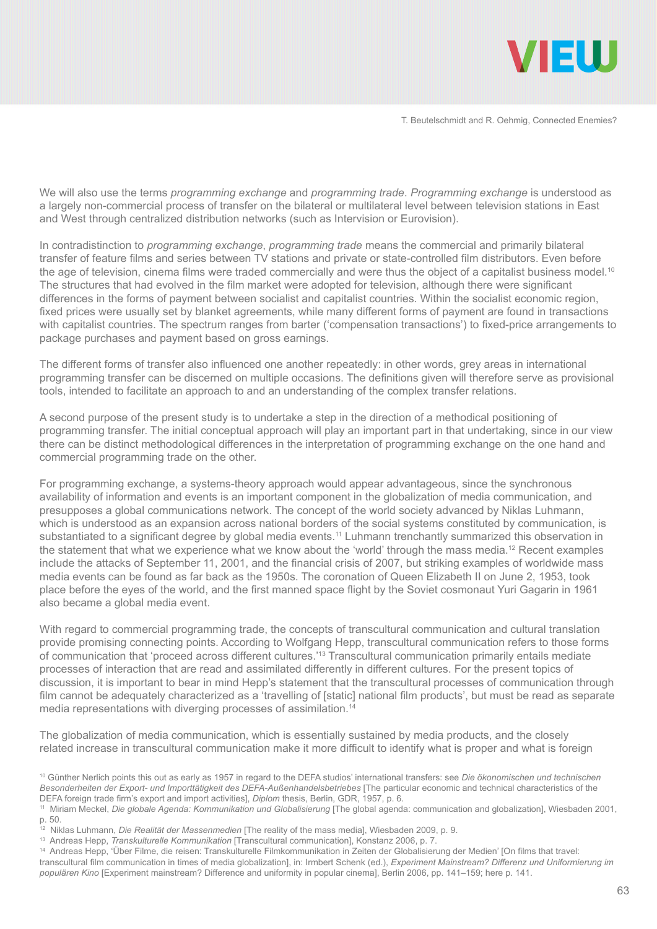

We will also use the terms *programming exchange* and *programming trade*. *Programming exchange* is understood as a largely non-commercial process of transfer on the bilateral or multilateral level between television stations in East and West through centralized distribution networks (such as Intervision or Eurovision).

In contradistinction to *programming exchange*, *programming trade* means the commercial and primarily bilateral transfer of feature films and series between TV stations and private or state-controlled film distributors. Even before the age of television, cinema films were traded commercially and were thus the object of a capitalist business model.<sup>10</sup> The structures that had evolved in the film market were adopted for television, although there were significant differences in the forms of payment between socialist and capitalist countries. Within the socialist economic region, fixed prices were usually set by blanket agreements, while many different forms of payment are found in transactions with capitalist countries. The spectrum ranges from barter ('compensation transactions') to fixed-price arrangements to package purchases and payment based on gross earnings.

The different forms of transfer also influenced one another repeatedly: in other words, grey areas in international programming transfer can be discerned on multiple occasions. The definitions given will therefore serve as provisional tools, intended to facilitate an approach to and an understanding of the complex transfer relations.

A second purpose of the present study is to undertake a step in the direction of a methodical positioning of programming transfer. The initial conceptual approach will play an important part in that undertaking, since in our view there can be distinct methodological differences in the interpretation of programming exchange on the one hand and commercial programming trade on the other.

For programming exchange, a systems-theory approach would appear advantageous, since the synchronous availability of information and events is an important component in the globalization of media communication, and presupposes a global communications network. The concept of the world society advanced by Niklas Luhmann, which is understood as an expansion across national borders of the social systems constituted by communication, is substantiated to a significant degree by global media events.<sup>11</sup> Luhmann trenchantly summarized this observation in the statement that what we experience what we know about the 'world' through the mass media.12 Recent examples include the attacks of September 11, 2001, and the financial crisis of 2007, but striking examples of worldwide mass media events can be found as far back as the 1950s. The coronation of Queen Elizabeth II on June 2, 1953, took place before the eyes of the world, and the first manned space flight by the Soviet cosmonaut Yuri Gagarin in 1961 also became a global media event.

With regard to commercial programming trade, the concepts of transcultural communication and cultural translation provide promising connecting points. According to Wolfgang Hepp, transcultural communication refers to those forms of communication that 'proceed across different cultures.'13 Transcultural communication primarily entails mediate processes of interaction that are read and assimilated differently in different cultures. For the present topics of discussion, it is important to bear in mind Hepp's statement that the transcultural processes of communication through film cannot be adequately characterized as a 'travelling of [static] national film products', but must be read as separate media representations with diverging processes of assimilation.<sup>14</sup>

The globalization of media communication, which is essentially sustained by media products, and the closely related increase in transcultural communication make it more difficult to identify what is proper and what is foreign

<sup>10</sup> Günther Nerlich points this out as early as 1957 in regard to the DEFA studios' international transfers: see *Die ökonomischen und technischen Besonderheiten der Export- und Importtätigkeit des DEFA-Außenhandelsbetriebes* [The particular economic and technical characteristics of the DEFA foreign trade firm's export and import activities], *Diplom* thesis, Berlin, GDR, 1957, p. 6.

<sup>11</sup> Miriam Meckel, *Die globale Agenda: Kommunikation und Globalisierung* [The global agenda: communication and globalization], Wiesbaden 2001, p. 50.

<sup>&</sup>lt;sup>12</sup> Niklas Luhmann, *Die Realität der Massenmedien* [The reality of the mass media], Wiesbaden 2009, p. 9.

<sup>13</sup> Andreas Hepp, *Transkulturelle Kommunikation* [Transcultural communication], Konstanz 2006, p. 7.

<sup>14</sup> Andreas Hepp, 'Über Filme, die reisen: Transkulturelle Filmkommunikation in Zeiten der Globalisierung der Medien' [On films that travel: transcultural film communication in times of media globalization], in: Irmbert Schenk (ed.), *Experiment Mainstream? Differenz und Uniformierung im populären Kino* [Experiment mainstream? Difference and uniformity in popular cinema], Berlin 2006, pp. 141–159; here p. 141.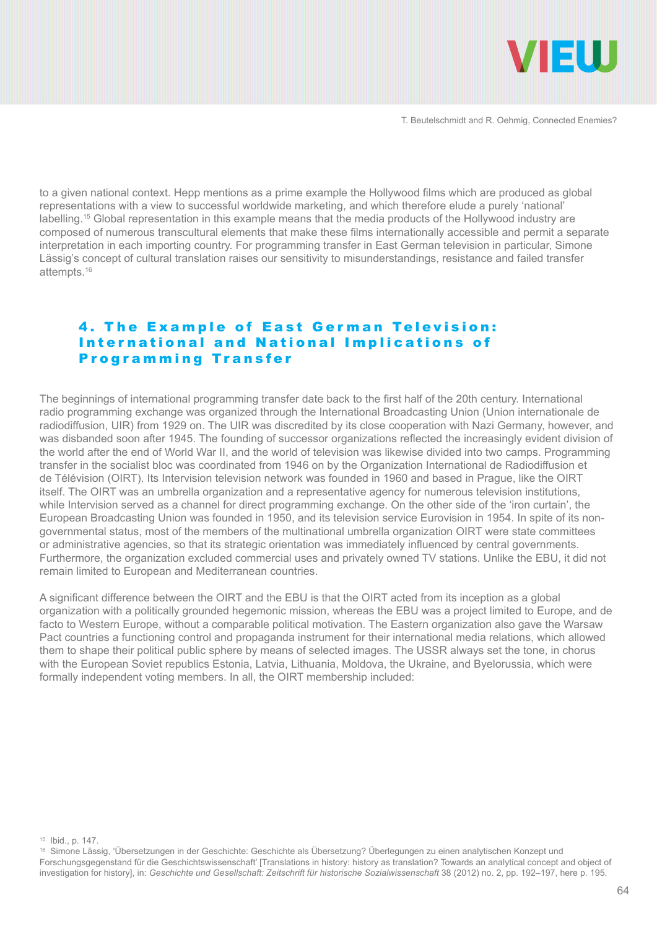

to a given national context. Hepp mentions as a prime example the Hollywood films which are produced as global representations with a view to successful worldwide marketing, and which therefore elude a purely 'national' labelling.15 Global representation in this example means that the media products of the Hollywood industry are composed of numerous transcultural elements that make these films internationally accessible and permit a separate interpretation in each importing country. For programming transfer in East German television in particular, Simone Lässig's concept of cultural translation raises our sensitivity to misunderstandings, resistance and failed transfer attempts.<sup>16</sup>

#### 4. The Example of East German Television: Inter national and National Implications of Programming Transfer

The beginnings of international programming transfer date back to the first half of the 20th century. International radio programming exchange was organized through the International Broadcasting Union (Union internationale de radiodiffusion, UIR) from 1929 on. The UIR was discredited by its close cooperation with Nazi Germany, however, and was disbanded soon after 1945. The founding of successor organizations reflected the increasingly evident division of the world after the end of World War II, and the world of television was likewise divided into two camps. Programming transfer in the socialist bloc was coordinated from 1946 on by the Organization International de Radiodiffusion et de Télévision (OIRT). Its Intervision television network was founded in 1960 and based in Prague, like the OIRT itself. The OIRT was an umbrella organization and a representative agency for numerous television institutions, while Intervision served as a channel for direct programming exchange. On the other side of the 'iron curtain', the European Broadcasting Union was founded in 1950, and its television service Eurovision in 1954. In spite of its nongovernmental status, most of the members of the multinational umbrella organization OIRT were state committees or administrative agencies, so that its strategic orientation was immediately influenced by central governments. Furthermore, the organization excluded commercial uses and privately owned TV stations. Unlike the EBU, it did not remain limited to European and Mediterranean countries.

A significant difference between the OIRT and the EBU is that the OIRT acted from its inception as a global organization with a politically grounded hegemonic mission, whereas the EBU was a project limited to Europe, and de facto to Western Europe, without a comparable political motivation. The Eastern organization also gave the Warsaw Pact countries a functioning control and propaganda instrument for their international media relations, which allowed them to shape their political public sphere by means of selected images. The USSR always set the tone, in chorus with the European Soviet republics Estonia, Latvia, Lithuania, Moldova, the Ukraine, and Byelorussia, which were formally independent voting members. In all, the OIRT membership included:

15 Ibid., p. 147.

16 Simone Lässig, 'Übersetzungen in der Geschichte: Geschichte als Übersetzung? Überlegungen zu einen analytischen Konzept und Forschungsgegenstand für die Geschichtswissenschaft' [Translations in history: history as translation? Towards an analytical concept and object of investigation for history], in: Geschichte und Gesellschaft: Zeitschrift für historische Sozialwissenschaft 38 (2012) no. 2, pp. 192-197, here p. 195.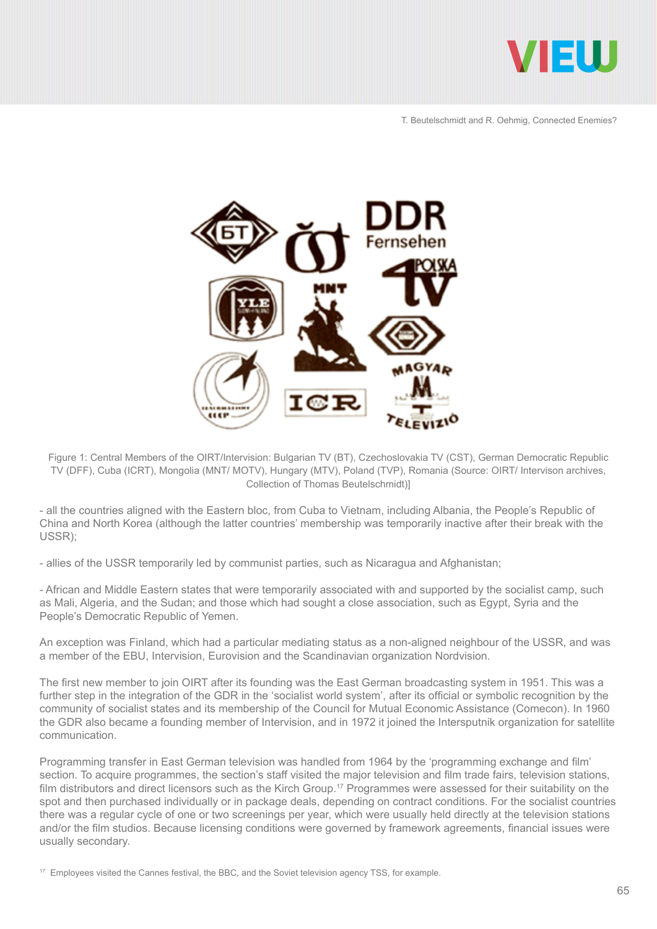



Figure 1: Central Members of the OIRT/Intervision: Bulgarian TV (BT), Czechoslovakia TV (CST), German Democratic Republic TV (DFF), Cuba (ICRT), Mongolia (MNT/ MOTV), Hungary (MTV), Poland (TVP), Romania (Source: OIRT/ Intervison archives, Collection of Thomas Beutelschmidt)]

- all the countries aligned with the Eastern bloc, from Cuba to Vietnam, including Albania, the People's Republic of China and North Korea (although the latter countries' membership was temporarily inactive after their break with the USSR);

- allies of the USSR temporarily led by communist parties, such as Nicaragua and Afghanistan;

- African and Middle Eastern states that were temporarily associated with and supported by the socialist camp, such as Mali, Algeria, and the Sudan; and those which had sought a close association, such as Egypt, Syria and the People's Democratic Republic of Yemen.

An exception was Finland, which had a particular mediating status as a non-aligned neighbour of the USSR, and was a member of the EBU, Intervision, Eurovision and the Scandinavian organization Nordvision.

The first new member to join OIRT after its founding was the East German broadcasting system in 1951. This was a further step in the integration of the GDR in the 'socialist world system', after its official or symbolic recognition by the community of socialist states and its membership of the Council for Mutual Economic Assistance (Comecon). In 1960 the GDR also became a founding member of Intervision, and in 1972 it joined the Intersputnik organization for satellite communication.

Programming transfer in East German television was handled from 1964 by the 'programming exchange and film' section. To acquire programmes, the section's staff visited the major television and film trade fairs, television stations, film distributors and direct licensors such as the Kirch Group.<sup>17</sup> Programmes were assessed for their suitability on the spot and then purchased individually or in package deals, depending on contract conditions. For the socialist countries there was a regular cycle of one or two screenings per year, which were usually held directly at the television stations and/or the film studios. Because licensing conditions were governed by framework agreements, financial issues were usually secondary.

<sup>17</sup> Employees visited the Cannes festival, the BBC, and the Soviet television agency TSS, for example.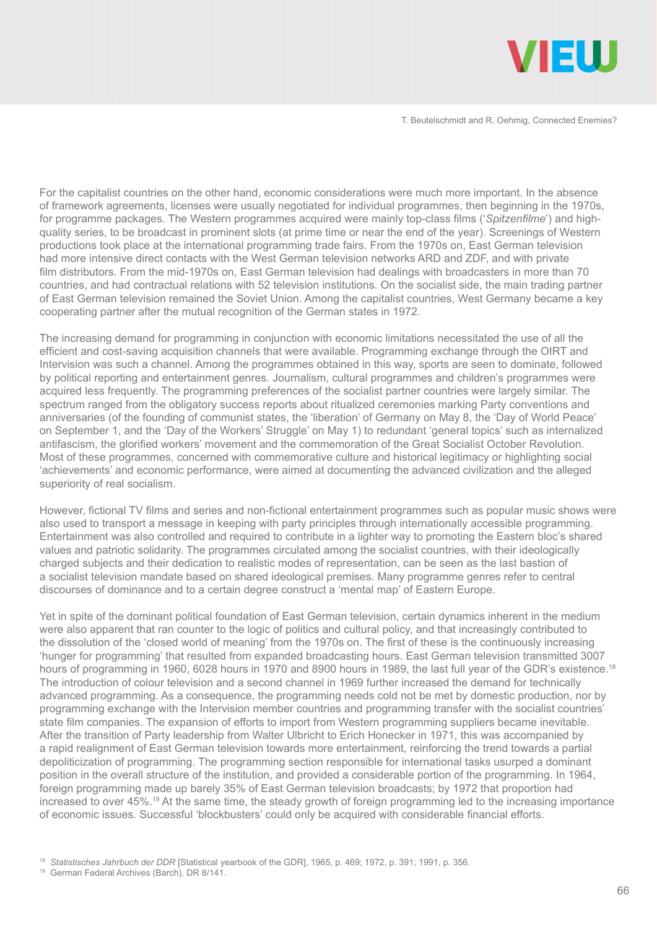

For the capitalist countries on the other hand, economic considerations were much more important. In the absence of framework agreements, licenses were usually negotiated for individual programmes, then beginning in the 1970s, for programme packages. The Western programmes acquired were mainly top-class films ('*Spitzenfilme*') and highquality series, to be broadcast in prominent slots (at prime time or near the end of the year). Screenings of Western productions took place at the international programming trade fairs. From the 1970s on, East German television had more intensive direct contacts with the West German television networks ARD and ZDF, and with private film distributors. From the mid-1970s on, East German television had dealings with broadcasters in more than 70 countries, and had contractual relations with 52 television institutions. On the socialist side, the main trading partner of East German television remained the Soviet Union. Among the capitalist countries, West Germany became a key cooperating partner after the mutual recognition of the German states in 1972.

The increasing demand for programming in conjunction with economic limitations necessitated the use of all the efficient and cost-saving acquisition channels that were available. Programming exchange through the OIRT and Intervision was such a channel. Among the programmes obtained in this way, sports are seen to dominate, followed by political reporting and entertainment genres. Journalism, cultural programmes and children's programmes were acquired less frequently. The programming preferences of the socialist partner countries were largely similar. The spectrum ranged from the obligatory success reports about ritualized ceremonies marking Party conventions and anniversaries (of the founding of communist states, the 'liberation' of Germany on May 8, the 'Day of World Peace' on September 1, and the 'Day of the Workers' Struggle' on May 1) to redundant 'general topics' such as internalized antifascism, the glorified workers' movement and the commemoration of the Great Socialist October Revolution. Most of these programmes, concerned with commemorative culture and historical legitimacy or highlighting social 'achievements' and economic performance, were aimed at documenting the advanced civilization and the alleged superiority of real socialism.

However, fictional TV films and series and non-fictional entertainment programmes such as popular music shows were also used to transport a message in keeping with party principles through internationally accessible programming. Entertainment was also controlled and required to contribute in a lighter way to promoting the Eastern bloc's shared values and patriotic solidarity. The programmes circulated among the socialist countries, with their ideologically charged subjects and their dedication to realistic modes of representation, can be seen as the last bastion of a socialist television mandate based on shared ideological premises. Many programme genres refer to central discourses of dominance and to a certain degree construct a 'mental map' of Eastern Europe.

Yet in spite of the dominant political foundation of East German television, certain dynamics inherent in the medium were also apparent that ran counter to the logic of politics and cultural policy, and that increasingly contributed to the dissolution of the 'closed world of meaning' from the 1970s on. The first of these is the continuously increasing 'hunger for programming' that resulted from expanded broadcasting hours. East German television transmitted 3007 hours of programming in 1960, 6028 hours in 1970 and 8900 hours in 1989, the last full year of the GDR's existence.<sup>18</sup> The introduction of colour television and a second channel in 1969 further increased the demand for technically advanced programming. As a consequence, the programming needs cold not be met by domestic production, nor by programming exchange with the Intervision member countries and programming transfer with the socialist countries' state film companies. The expansion of efforts to import from Western programming suppliers became inevitable. After the transition of Party leadership from Walter Ulbricht to Erich Honecker in 1971, this was accompanied by a rapid realignment of East German television towards more entertainment, reinforcing the trend towards a partial depoliticization of programming. The programming section responsible for international tasks usurped a dominant position in the overall structure of the institution, and provided a considerable portion of the programming. In 1964, foreign programming made up barely 35% of East German television broadcasts; by 1972 that proportion had increased to over 45%.19 At the same time, the steady growth of foreign programming led to the increasing importance of economic issues. Successful 'blockbusters' could only be acquired with considerable financial efforts.

<sup>18</sup> *Statistisches Jahrbuch der DDR* [Statistical yearbook of the GDR], 1965, p. 469; 1972, p. 391; 1991, p. 356.

<sup>19</sup> German Federal Archives (Barch), DR 8/141.